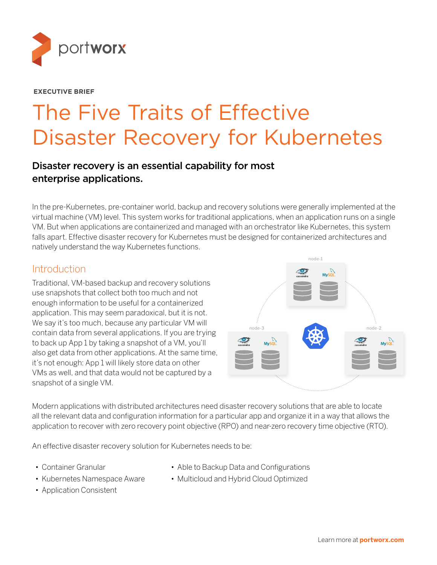

#### **EXECUTIVE BRIEF**

# The Five Traits of Effective Disaster Recovery for Kubernetes

#### Disaster recovery is an essential capability for most enterprise applications.

In the pre-Kubernetes, pre-container world, backup and recovery solutions were generally implemented at the virtual machine (VM) level. This system works for traditional applications, when an application runs on a single VM. But when applications are containerized and managed with an orchestrator like Kubernetes, this system falls apart. Effective disaster recovery for Kubernetes must be designed for containerized architectures and natively understand the way Kubernetes functions.

#### Introduction

Traditional, VM-based backup and recovery solutions use snapshots that collect both too much and not enough information to be useful for a containerized application. This may seem paradoxical, but it is not. We say it's too much, because any particular VM will contain data from several applications. If you are trying to back up App 1 by taking a snapshot of a VM, you'll also get data from other applications. At the same time, it's not enough: App 1 will likely store data on other VMs as well, and that data would not be captured by a snapshot of a single VM.



Modern applications with distributed architectures need disaster recovery solutions that are able to locate all the relevant data and configuration information for a particular app and organize it in a way that allows the application to recover with zero recovery point objective (RPO) and near-zero recovery time objective (RTO).

An effective disaster recovery solution for Kubernetes needs to be:

- Container Granular
- Kubernetes Namespace Aware
- Able to Backup Data and Configurations
- Multicloud and Hybrid Cloud Optimized
- Application Consistent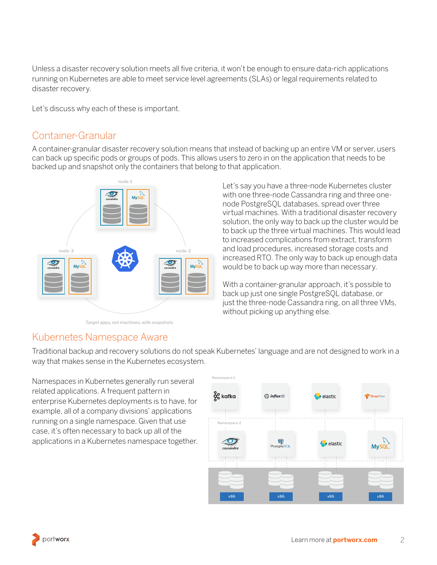Unless a disaster recovery solution meets all five criteria, it won't be enough to ensure data-rich applications running on Kubernetes are able to meet service level agreements (SLAs) or legal requirements related to disaster recovery.

Let's discuss why each of these is important.

#### Container-Granular

A container-granular disaster recovery solution means that instead of backing up an entire VM or server, users can back up specific pods or groups of pods. This allows users to zero in on the application that needs to be backed up and snapshot only the containers that belong to that application.



Target apps, not machines, with snapshots

Let's say you have a three-node Kubernetes cluster with one three-node Cassandra ring and three onenode PostgreSQL databases, spread over three virtual machines. With a traditional disaster recovery solution, the only way to back up the cluster would be to back up the three virtual machines. This would lead to increased complications from extract, transform and load procedures, increased storage costs and increased RTO. The only way to back up enough data would be to back up way more than necessary.

With a container-granular approach, it's possible to back up just one single PostgreSQL database, or just the three-node Cassandra ring, on all three VMs, without picking up anything else.

#### Kubernetes Namespace Aware

Traditional backup and recovery solutions do not speak Kubernetes' language and are not designed to work in a way that makes sense in the Kubernetes ecosystem.

Namespaces in Kubernetes generally run several related applications. A frequent pattern in enterprise Kubernetes deployments is to have, for example, all of a company divisions' applications running on a single namespace. Given that use case, it's often necessary to back up all of the applications in a Kubernetes namespace together.



portworx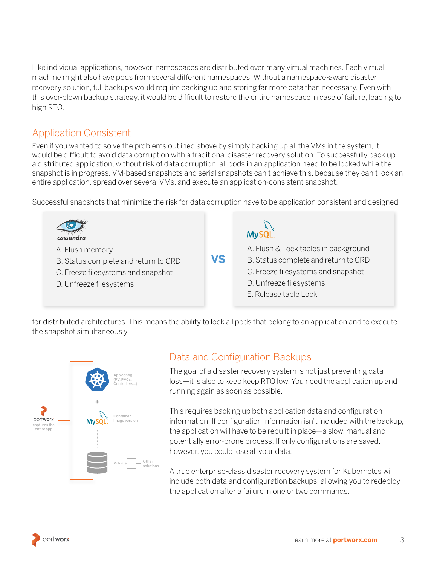Like individual applications, however, namespaces are distributed over many virtual machines. Each virtual machine might also have pods from several different namespaces. Without a namespace-aware disaster recovery solution, full backups would require backing up and storing far more data than necessary. Even with this over-blown backup strategy, it would be difficult to restore the entire namespace in case of failure, leading to high RTO.

### Application Consistent

Even if you wanted to solve the problems outlined above by simply backing up all the VMs in the system, it would be difficult to avoid data corruption with a traditional disaster recovery solution. To successfully back up a distributed application, without risk of data corruption, all pods in an application need to be locked while the snapshot is in progress. VM-based snapshots and serial snapshots can't achieve this, because they can't lock an entire application, spread over several VMs, and execute an application-consistent snapshot.

Successful snapshots that minimize the risk for data corruption have to be application consistent and designed



for distributed architectures. This means the ability to lock all pods that belong to an application and to execute the snapshot simultaneously.



#### Data and Configuration Backups

The goal of a disaster recovery system is not just preventing data loss—it is also to keep keep RTO low. You need the application up and running again as soon as possible.

This requires backing up both application data and configuration information. If configuration information isn't included with the backup, the application will have to be rebuilt in place—a slow, manual and potentially error-prone process. If only configurations are saved, however, you could lose all your data.

A true enterprise-class disaster recovery system for Kubernetes will include both data and configuration backups, allowing you to redeploy the application after a failure in one or two commands.

portworx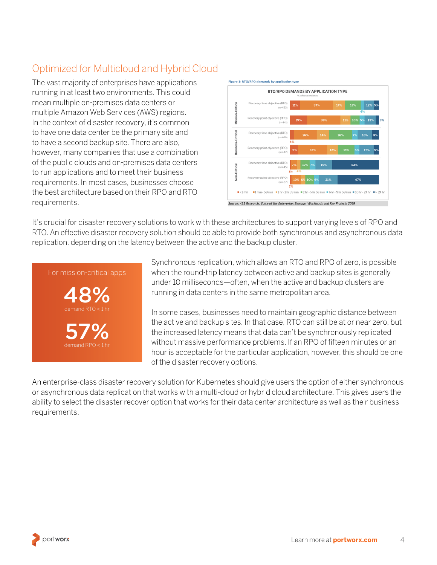## Optimized for Multicloud and Hybrid Cloud

The vast majority of enterprises have applications running in at least two environments. This could mean multiple on-premises data centers or multiple Amazon Web Services (AWS) regions. In the context of disaster recovery, it's common to have one data center be the primary site and to have a second backup site. There are also, however, many companies that use a combination of the public clouds and on-premises data centers to run applications and to meet their business requirements. In most cases, businesses choose the best architecture based on their RPO and RTO requirements.



Source: 451 Research, Voice of the Enterprise: Storage, Workloads and Key Projects 2019

It's crucial for disaster recovery solutions to work with these architectures to support varying levels of RPO and RTO. An effective disaster recovery solution should be able to provide both synchronous and asynchronous data replication, depending on the latency between the active and the backup cluster.

# demand RPO  $< 1$  hr 57% 48% demand RTO < 1 hr For mission-critical apps

Synchronous replication, which allows an RTO and RPO of zero, is possible when the round-trip latency between active and backup sites is generally under 10 milliseconds—often, when the active and backup clusters are running in data centers in the same metropolitan area.

In some cases, businesses need to maintain geographic distance between the active and backup sites. In that case, RTO can still be at or near zero, but the increased latency means that data can't be synchronously replicated without massive performance problems. If an RPO of fifteen minutes or an hour is acceptable for the particular application, however, this should be one of the disaster recovery options.

An enterprise-class disaster recovery solution for Kubernetes should give users the option of either synchronous or asynchronous data replication that works with a multi-cloud or hybrid cloud architecture. This gives users the ability to select the disaster recover option that works for their data center architecture as well as their business requirements.